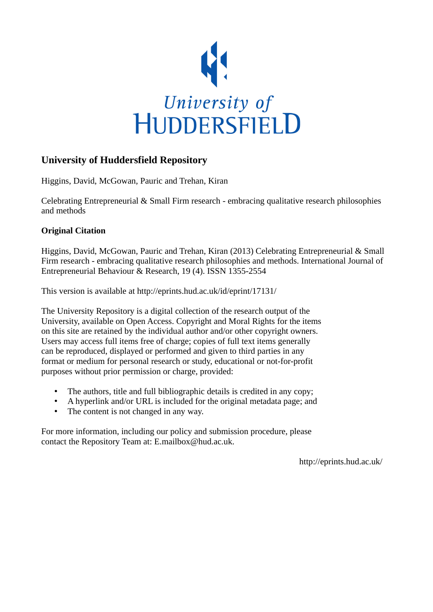

# **University of Huddersfield Repository**

Higgins, David, McGowan, Pauric and Trehan, Kiran

Celebrating Entrepreneurial & Small Firm research - embracing qualitative research philosophies and methods

# **Original Citation**

Higgins, David, McGowan, Pauric and Trehan, Kiran (2013) Celebrating Entrepreneurial & Small Firm research - embracing qualitative research philosophies and methods. International Journal of Entrepreneurial Behaviour & Research, 19 (4). ISSN 1355-2554

This version is available at http://eprints.hud.ac.uk/id/eprint/17131/

The University Repository is a digital collection of the research output of the University, available on Open Access. Copyright and Moral Rights for the items on this site are retained by the individual author and/or other copyright owners. Users may access full items free of charge; copies of full text items generally can be reproduced, displayed or performed and given to third parties in any format or medium for personal research or study, educational or not-for-profit purposes without prior permission or charge, provided:

- The authors, title and full bibliographic details is credited in any copy;
- A hyperlink and/or URL is included for the original metadata page; and
- The content is not changed in any way.

For more information, including our policy and submission procedure, please contact the Repository Team at: E.mailbox@hud.ac.uk.

http://eprints.hud.ac.uk/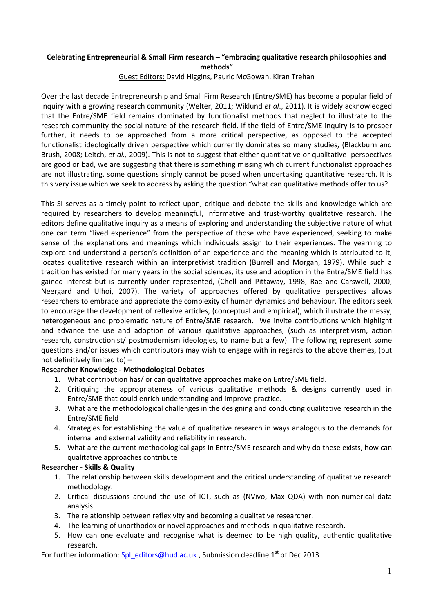## Celebrating Entrepreneurial & Small Firm research – "embracing qualitative research philosophies and methods"

Guest Editors: David Higgins, Pauric McGowan, Kiran Trehan

Over the last decade Entrepreneurship and Small Firm Research (Entre/SME) has become a popular field of inquiry with a growing research community (Welter, 2011; Wiklund et al., 2011). It is widely acknowledged that the Entre/SME field remains dominated by functionalist methods that neglect to illustrate to the research community the social nature of the research field. If the field of Entre/SME inquiry is to prosper further, it needs to be approached from a more critical perspective, as opposed to the accepted functionalist ideologically driven perspective which currently dominates so many studies, (Blackburn and Brush, 2008; Leitch, et al., 2009). This is not to suggest that either quantitative or qualitative perspectives are good or bad, we are suggesting that there is something missing which current functionalist approaches are not illustrating, some questions simply cannot be posed when undertaking quantitative research. It is this very issue which we seek to address by asking the question "what can qualitative methods offer to us?

This SI serves as a timely point to reflect upon, critique and debate the skills and knowledge which are required by researchers to develop meaningful, informative and trust-worthy qualitative research. The editors define qualitative inquiry as a means of exploring and understanding the subjective nature of what one can term "lived experience" from the perspective of those who have experienced, seeking to make sense of the explanations and meanings which individuals assign to their experiences. The yearning to explore and understand a person's definition of an experience and the meaning which is attributed to it, locates qualitative research within an interpretivist tradition (Burrell and Morgan, 1979). While such a tradition has existed for many years in the social sciences, its use and adoption in the Entre/SME field has gained interest but is currently under represented, (Chell and Pittaway, 1998; Rae and Carswell, 2000; Neergard and Ulhoi, 2007). The variety of approaches offered by qualitative perspectives allows researchers to embrace and appreciate the complexity of human dynamics and behaviour. The editors seek to encourage the development of reflexive articles, (conceptual and empirical), which illustrate the messy, heterogeneous and problematic nature of Entre/SME research. We invite contributions which highlight and advance the use and adoption of various qualitative approaches, (such as interpretivism, action research, constructionist/ postmodernism ideologies, to name but a few). The following represent some questions and/or issues which contributors may wish to engage with in regards to the above themes, (but not definitively limited to) –

### Researcher Knowledge - Methodological Debates

- 1. What contribution has/ or can qualitative approaches make on Entre/SME field.
- 2. Critiquing the appropriateness of various qualitative methods & designs currently used in Entre/SME that could enrich understanding and improve practice.
- 3. What are the methodological challenges in the designing and conducting qualitative research in the Entre/SME field
- 4. Strategies for establishing the value of qualitative research in ways analogous to the demands for internal and external validity and reliability in research.
- 5. What are the current methodological gaps in Entre/SME research and why do these exists, how can qualitative approaches contribute

#### Researcher - Skills & Quality

- 1. The relationship between skills development and the critical understanding of qualitative research methodology.
- 2. Critical discussions around the use of ICT, such as (NVivo, Max QDA) with non-numerical data analysis.
- 3. The relationship between reflexivity and becoming a qualitative researcher.
- 4. The learning of unorthodox or novel approaches and methods in qualitative research.
- 5. How can one evaluate and recognise what is deemed to be high quality, authentic qualitative research.

For further information: Spl\_editors@hud.ac.uk , Submission deadline 1<sup>st</sup> of Dec 2013